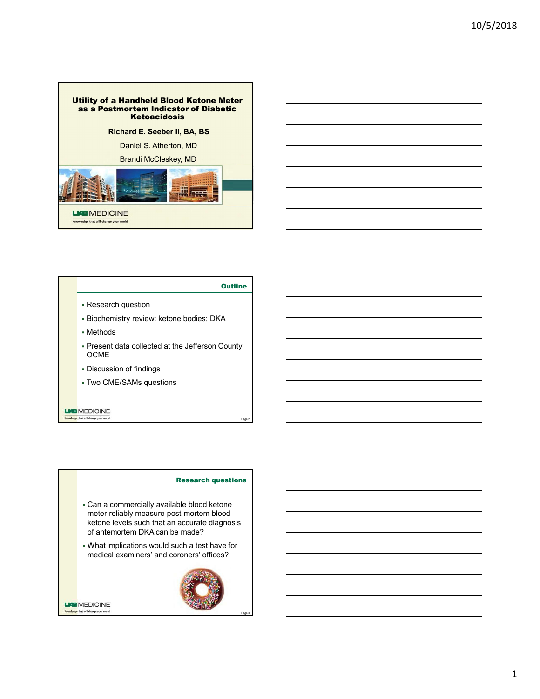



# **Outline**

- 
- 
- Methods
- Present data collected at the Jefferson County OCME **DESIGNATION**
- 
- 

- Can a commercially available blood ketone meter reliably measure post-mortem blood ketone levels such that an accurate diagnosis<br>of antemortem DKA can be made? Research question<br>
Research duathory review: ketone bodies; DKA<br>
Methods<br>
OCME<br>
Discussion of findings<br>
Discussion of findings<br>
Two CME/SAMs questions<br>
DISCUSSION COMES<br>
DISCUSSION THE MARK THE MARK THE MARK THE MARK THE M
- What implications would such a test have for

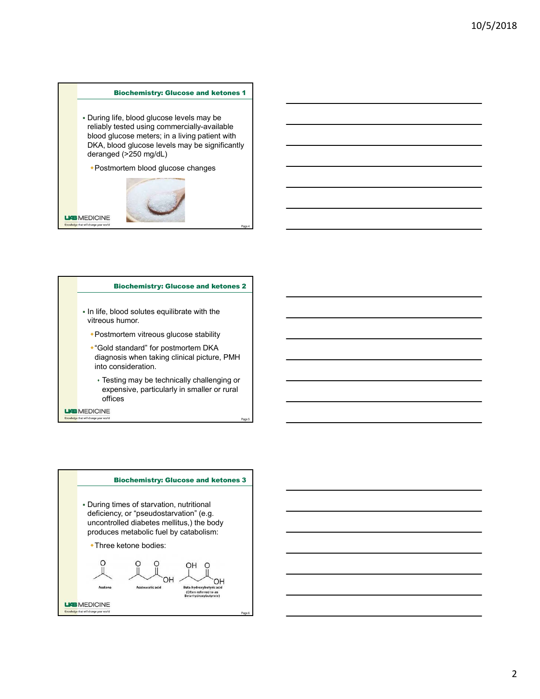10/5/2018<br>Biochemistry: Glucose and ketones 1<br>ife, blood glucose levels may be<br>tested using commercially-available<br>coces meters; in a living patient with<br>cood glucose levels may be significantly<br>od (>250 mg/dL) During life, blood glucose levels may be reliably tested using commercially-available blood glucose meters; in a living patient with DKA, blood glucose levels may be significantly deranged (>250 mg/d)<br>
During life, blood glucose and ketones 1<br>
During life, blood glucose revels may be<br>
blood glucose maters; in a living palient with<br>
Dick, blood glucose changes Page 4 Biochemistry: Glucose Changes<br>
4 Electric methods and the consistent of the stability experiments of the postmortem vitreous glucose stability of the standard glucose stability of the state of postmortem blood glucose changes<br>
<br>
For postmortem blood gluco



- In life, blood solutes equilibrate with the vitreous humor.
	-
- diagnosis when taking clinical picture, PMH ood glucose levels may be significantly<br>
A, blood glucose levels may be significantly<br>
Transpace (2250 mg/dL)<br>
Postmortem blood glucose changes<br>
Sinchemistry: Glucose and ketones 2<br>
Iife, blood solutes equilibrate with the
	- expensive, particularly in smaller or rural

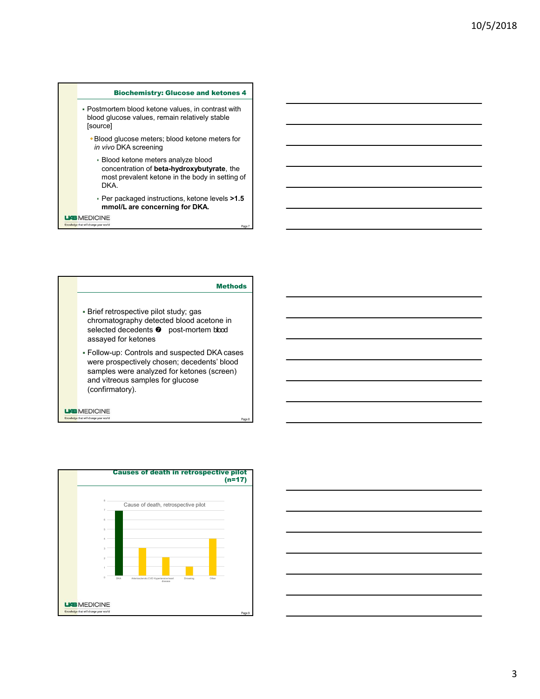- 10/5/2018<br>
Biochemistry: Glucose and ketones 4<br>
tem blood ketone values, in contrast with<br>
ucose values, remain relatively stable<br>
glucose meters; blood ketone meters for<br>
DKA screening<br>
DKA screening Postmortem blood ketone values, in contrast with blood glucose values, remain relatively stable [source]
	-
	- Bloochemistry: Glucose and ketones 4<br>
	Postmortem blood ketone values, in contrast with<br>
	plood glucose values, remain relatively stable<br>
	source]<br>
	in vivo DKA screening<br>
	. Blood ketone meters analyze blood<br>
	. most prevalent Biochemistry: Glucose and ketones 4<br>
	stmortem blood ketone values, in contrast with<br>
	ood glucose values, remain relatively stable<br>
	Blood glucose meters; blood ketone meters for<br> *in vivo* DKA screening<br>
	→ Blood ketone met Blood ketone meters analyze blood concentration of beta-hydroxybutyrate, the most prevalent ketone in the body in setting of DKA. 10/5/2018<br>
	Biochemistry: Glucose and ketones 4<br>
	montem blood ketone values, in contrast with<br>
	diglucase values, remain relatively stable<br>
	cold glucose methes: blood the concerning for DKA and the body in setting of<br>
	Pion o
		- Per packaged instructions, ketone levels >1.5





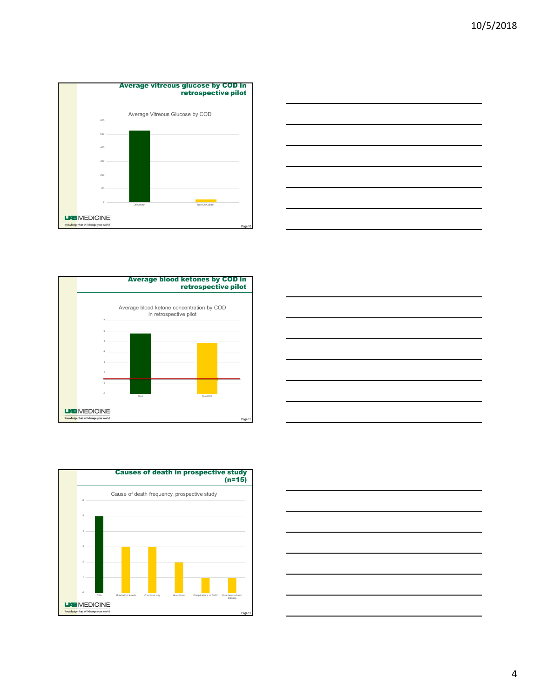









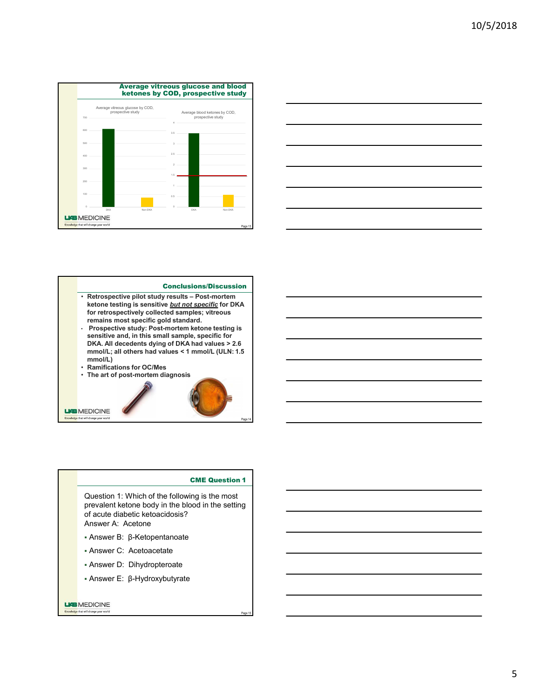



# Conclusions/Discussion

- ketone testing is sensitive but not specific for DKA for retrospectively collected samples; vitreous<br>remains most specific gold standard.
- sensitive and, in this small sample, specific for DKA. All decedents dying of DKA had values > 2.6 mmol/L)<br>• Ramifications for OC/Mes
- 
- 

Conclusion Conclusion Conclusion Conclusion Conclusion Conclusion Conclusion Conclusion Conclusion Conclusion Conclusion Conclusion Conclusion Conclusion Conclusion Conclusion Conclusion Conclusion Conclusion Conclusion Co Retrospective pliot study results - Post-Innoten<br>
Retrospectively ollerds amples; virtuous<br>
for retrospectively collered sample, specific for DKA<br>
remains most specific (grod standard).<br>
Prospective study: Post-Innoten ket Answer B: β-Ketopentanoate<br>
Answer B: β-Ketopetine and analysis, vitrous<br>
Promasculo between hedone atstring is<br>
Sensitive and in this small sample, specific for<br>
DKA. Ald decedents dying of DKA had values - 2.6<br>
mmol/L, Properties specifies (or standard control and the small sample, specific for a<br>Properties and, in this small sample, specific for  $2.6$ <br>membership of DKA had values - 2.6<br>membership of DKA had values - 2.6<br>manifications fo sensitive and, in this small sample, specific for<br>
DKA All decedents dying of DKA had values < 2.6<br>
mmol/L, all others had values < 1 mmol/L (ULN:1.5<br>
Ramifications for OCMes<br>
The art of post-motem diagnosis<br>
The art of p mmol/L, all others had values <1 mmol/L, (ULN:1.5<br>
Ramifications for OCMes<br>
The art of post-mortem diagnosis<br>
The art of post-mortem diagnosis<br>
EDICINE<br>
EDICINE<br>
<br>
COLLESION 1: Which of the following is the most<br>
of acute

Page 15 Question 1: Which of the following is the most prevalent ketone body in the blood in the setting

- 
- 
- 
-